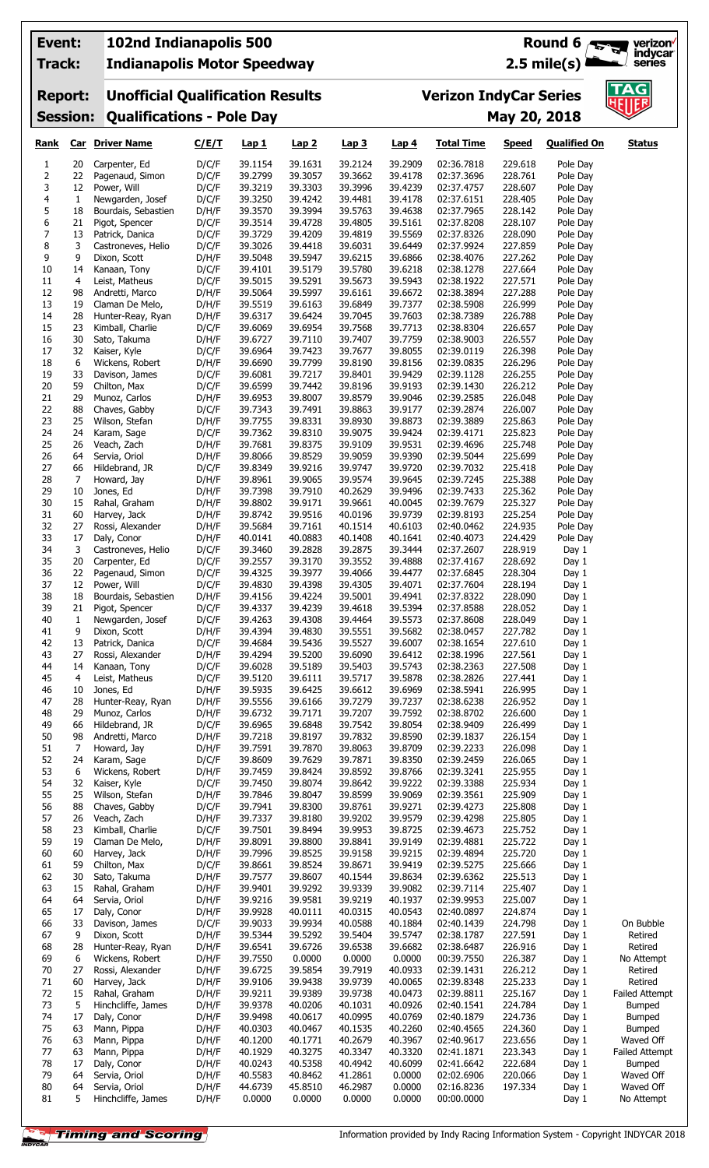| Event:<br>Track:              |              | 102nd Indianapolis 500                |                                         |                    |                    |                    |                    |                                                           |                    | Round 6 $\sqrt{3}$   | verizon <sup>V</sup>       |  |
|-------------------------------|--------------|---------------------------------------|-----------------------------------------|--------------------|--------------------|--------------------|--------------------|-----------------------------------------------------------|--------------------|----------------------|----------------------------|--|
|                               |              |                                       | <b>Indianapolis Motor Speedway</b>      |                    |                    |                    |                    | indycar<br>$2.5$ mile(s)<br>series                        |                    |                      |                            |  |
| <b>Report:</b>                |              |                                       | <b>Unofficial Qualification Results</b> |                    |                    |                    |                    | $\overline{\mathsf{AG}}$<br><b>Verizon IndyCar Series</b> |                    |                      |                            |  |
| <b>Session:</b>               |              |                                       | <b>Qualifications - Pole Day</b>        |                    |                    |                    |                    | <b>HEIIER</b><br>May 20, 2018                             |                    |                      |                            |  |
| <u>Rank</u>                   |              | <b>Car</b> Driver Name                | C/E/T                                   | <b>Lap 1</b>       | Lap2               | Lap <sub>3</sub>   | Lap <sub>4</sub>   | <b>Total Time</b>                                         | <b>Speed</b>       | <b>Qualified On</b>  | <b>Status</b>              |  |
| 1                             | 20           | Carpenter, Ed                         | D/C/F                                   | 39.1154            | 39.1631            | 39.2124            | 39.2909            | 02:36.7818                                                | 229.618            | Pole Day             |                            |  |
| $\mathsf 2$<br>3              | 22<br>12     | Pagenaud, Simon<br>Power, Will        | D/C/F<br>D/C/F                          | 39.2799<br>39.3219 | 39.3057<br>39.3303 | 39.3662<br>39.3996 | 39.4178<br>39.4239 | 02:37.3696<br>02:37.4757                                  | 228.761<br>228.607 | Pole Day<br>Pole Day |                            |  |
| 4                             | $\mathbf{1}$ | Newgarden, Josef                      | D/C/F                                   | 39.3250            | 39.4242            | 39.4481            | 39.4178            | 02:37.6151                                                | 228.405            | Pole Day             |                            |  |
| 5                             | 18           | Bourdais, Sebastien                   | D/H/F                                   | 39.3570            | 39.3994            | 39.5763            | 39.4638            | 02:37.7965                                                | 228.142            | Pole Day             |                            |  |
| 6<br>$\overline{\phantom{a}}$ | 21<br>13     | Pigot, Spencer<br>Patrick, Danica     | D/C/F<br>D/C/F                          | 39.3514<br>39.3729 | 39.4728<br>39.4209 | 39.4805<br>39.4819 | 39.5161<br>39.5569 | 02:37.8208<br>02:37.8326                                  | 228.107<br>228.090 | Pole Day<br>Pole Day |                            |  |
| 8                             | 3            | Castroneves, Helio                    | D/C/F                                   | 39.3026            | 39.4418            | 39.6031            | 39.6449            | 02:37.9924                                                | 227.859            | Pole Day             |                            |  |
| 9                             | 9            | Dixon, Scott                          | D/H/F                                   | 39.5048            | 39.5947            | 39.6215            | 39.6866            | 02:38.4076                                                | 227.262            | Pole Day             |                            |  |
| 10<br>11                      | 14<br>4      | Kanaan, Tony<br>Leist, Matheus        | D/C/F<br>D/C/F                          | 39.4101<br>39.5015 | 39.5179<br>39.5291 | 39.5780<br>39.5673 | 39.6218<br>39.5943 | 02:38.1278<br>02:38.1922                                  | 227.664<br>227.571 | Pole Day<br>Pole Day |                            |  |
| 12                            | 98           | Andretti, Marco                       | D/H/F                                   | 39.5064            | 39.5997            | 39.6161            | 39.6672            | 02:38.3894                                                | 227.288            | Pole Day             |                            |  |
| 13                            | 19           | Claman De Melo,                       | D/H/F                                   | 39.5519            | 39.6163            | 39.6849            | 39.7377            | 02:38.5908                                                | 226.999            | Pole Day             |                            |  |
| 14<br>15                      | 28<br>23     | Hunter-Reay, Ryan<br>Kimball, Charlie | D/H/F<br>D/C/F                          | 39.6317<br>39.6069 | 39.6424<br>39.6954 | 39.7045<br>39.7568 | 39.7603<br>39.7713 | 02:38.7389<br>02:38.8304                                  | 226.788<br>226.657 | Pole Day<br>Pole Day |                            |  |
| 16                            | 30           | Sato, Takuma                          | D/H/F                                   | 39.6727            | 39.7110            | 39.7407            | 39.7759            | 02:38.9003                                                | 226.557            | Pole Day             |                            |  |
| 17                            | 32           | Kaiser, Kyle                          | D/C/F                                   | 39.6964            | 39.7423            | 39.7677            | 39.8055            | 02:39.0119                                                | 226.398            | Pole Day             |                            |  |
| 18<br>19                      | 6<br>33      | Wickens, Robert<br>Davison, James     | D/H/F<br>D/C/F                          | 39.6690<br>39.6081 | 39.7799<br>39.7217 | 39.8190<br>39.8401 | 39.8156<br>39.9429 | 02:39.0835<br>02:39.1128                                  | 226.296<br>226.255 | Pole Day<br>Pole Day |                            |  |
| 20                            | 59           | Chilton, Max                          | D/C/F                                   | 39.6599            | 39.7442            | 39.8196            | 39.9193            | 02:39.1430                                                | 226.212            | Pole Day             |                            |  |
| 21                            | 29           | Munoz, Carlos                         | D/H/F                                   | 39.6953            | 39.8007            | 39.8579            | 39.9046            | 02:39.2585                                                | 226.048            | Pole Day             |                            |  |
| 22<br>23                      | 88<br>25     | Chaves, Gabby<br>Wilson, Stefan       | D/C/F<br>D/H/F                          | 39.7343<br>39.7755 | 39.7491<br>39.8331 | 39.8863<br>39.8930 | 39.9177<br>39.8873 | 02:39.2874<br>02:39.3889                                  | 226.007<br>225.863 | Pole Day<br>Pole Day |                            |  |
| 24                            | 24           | Karam, Sage                           | D/C/F                                   | 39.7362            | 39.8310            | 39.9075            | 39.9424            | 02:39.4171                                                | 225.823            | Pole Day             |                            |  |
| 25                            | 26           | Veach, Zach                           | D/H/F                                   | 39.7681            | 39.8375            | 39.9109            | 39.9531            | 02:39.4696                                                | 225.748            | Pole Day             |                            |  |
| 26<br>27                      | 64<br>66     | Servia, Oriol<br>Hildebrand, JR       | D/H/F<br>D/C/F                          | 39.8066<br>39.8349 | 39.8529<br>39.9216 | 39.9059<br>39.9747 | 39.9390<br>39.9720 | 02:39.5044<br>02:39.7032                                  | 225.699<br>225.418 | Pole Day<br>Pole Day |                            |  |
| 28                            | 7            | Howard, Jay                           | D/H/F                                   | 39.8961            | 39.9065            | 39.9574            | 39.9645            | 02:39.7245                                                | 225.388            | Pole Day             |                            |  |
| 29                            | 10           | Jones, Ed                             | D/H/F                                   | 39.7398            | 39.7910            | 40.2629            | 39.9496            | 02:39.7433                                                | 225.362            | Pole Day             |                            |  |
| 30<br>31                      | 15<br>60     | Rahal, Graham<br>Harvey, Jack         | D/H/F                                   | 39.8802            | 39.9171<br>39.9516 | 39.9661<br>40.0196 | 40.0045<br>39.9739 | 02:39.7679                                                | 225.327<br>225.254 | Pole Day             |                            |  |
| 32                            | 27           | Rossi, Alexander                      | D/H/F<br>D/H/F                          | 39.8742<br>39.5684 | 39.7161            | 40.1514            | 40.6103            | 02:39.8193<br>02:40.0462                                  | 224.935            | Pole Day<br>Pole Day |                            |  |
| 33                            | 17           | Daly, Conor                           | D/H/F                                   | 40.0141            | 40.0883            | 40.1408            | 40.1641            | 02:40.4073                                                | 224.429            | Pole Day             |                            |  |
| 34                            | 3            | Castroneves, Helio                    | D/C/F                                   | 39.3460            | 39.2828            | 39.2875            | 39.3444            | 02:37.2607                                                | 228.919<br>228.692 | Day 1                |                            |  |
| 35<br>36                      | 20<br>22     | Carpenter, Ed<br>Pagenaud, Simon      | D/C/F<br>D/C/F                          | 39.2557<br>39.4325 | 39.3170<br>39.3977 | 39.3552<br>39.4066 | 39.4888<br>39.4477 | 02:37.4167<br>02:37.6845                                  | 228.304            | Day 1<br>Day $1$     |                            |  |
| 37                            | 12           | Power, Will                           | D/C/F                                   | 39.4830            | 39.4398            | 39.4305            | 39.4071            | 02:37.7604                                                | 228.194            | Day 1                |                            |  |
| 38                            | 18           | Bourdais, Sebastien                   | D/H/F                                   | 39.4156            | 39.4224            | 39.5001            | 39.4941            | 02:37.8322                                                | 228.090            | Day 1                |                            |  |
| 39<br>40                      | 21<br>1      | Pigot, Spencer<br>Newgarden, Josef    | D/C/F<br>D/C/F                          | 39.4337<br>39.4263 | 39.4239<br>39.4308 | 39.4618<br>39.4464 | 39.5394<br>39.5573 | 02:37.8588<br>02:37.8608                                  | 228.052<br>228.049 | Day 1<br>Day 1       |                            |  |
| 41                            | 9            | Dixon, Scott                          | D/H/F                                   | 39.4394            | 39.4830            | 39.5551            | 39.5682            | 02:38.0457                                                | 227.782            | Day 1                |                            |  |
| 42<br>43                      | 13<br>27     | Patrick, Danica                       | D/C/F                                   | 39.4684            | 39.5436            | 39.5527            | 39.6007            | 02:38.1654<br>02:38.1996                                  | 227.610            | Day 1                |                            |  |
| 44                            | 14           | Rossi, Alexander<br>Kanaan, Tony      | D/H/F<br>D/C/F                          | 39.4294<br>39.6028 | 39.5200<br>39.5189 | 39.6090<br>39.5403 | 39.6412<br>39.5743 | 02:38.2363                                                | 227.561<br>227.508 | Day 1<br>Day 1       |                            |  |
| 45                            | 4            | Leist, Matheus                        | D/C/F                                   | 39.5120            | 39.6111            | 39.5717            | 39.5878            | 02:38.2826                                                | 227.441            | Day 1                |                            |  |
| 46                            | 10           | Jones, Ed                             | D/H/F                                   | 39.5935            | 39.6425            | 39.6612            | 39.6969            | 02:38.5941                                                | 226.995            | Day 1                |                            |  |
| 47<br>48                      | 28<br>29     | Hunter-Reay, Ryan<br>Munoz, Carlos    | D/H/F<br>D/H/F                          | 39.5556<br>39.6732 | 39.6166<br>39.7171 | 39.7279<br>39.7207 | 39.7237<br>39.7592 | 02:38.6238<br>02:38.8702                                  | 226.952<br>226.600 | Day 1<br>Day 1       |                            |  |
| 49                            | 66           | Hildebrand, JR                        | D/C/F                                   | 39.6965            | 39.6848            | 39.7542            | 39.8054            | 02:38.9409                                                | 226.499            | Day 1                |                            |  |
| 50                            | 98           | Andretti, Marco                       | D/H/F                                   | 39.7218            | 39.8197            | 39.7832            | 39.8590            | 02:39.1837                                                | 226.154            | Day 1                |                            |  |
| 51<br>52                      | 7<br>24      | Howard, Jay<br>Karam, Sage            | D/H/F<br>D/C/F                          | 39.7591<br>39.8609 | 39.7870<br>39.7629 | 39.8063<br>39.7871 | 39.8709<br>39.8350 | 02:39.2233<br>02:39.2459                                  | 226.098<br>226.065 | Day 1<br>Day 1       |                            |  |
| 53                            | 6            | Wickens, Robert                       | D/H/F                                   | 39.7459            | 39.8424            | 39.8592            | 39.8766            | 02:39.3241                                                | 225.955            | Day 1                |                            |  |
| 54                            | 32           | Kaiser, Kyle                          | D/C/F                                   | 39.7450            | 39.8074            | 39.8642            | 39.9222            | 02:39.3388                                                | 225.934            | Day 1                |                            |  |
| 55<br>56                      | 25<br>88     | Wilson, Stefan<br>Chaves, Gabby       | D/H/F<br>D/C/F                          | 39.7846<br>39.7941 | 39.8047<br>39.8300 | 39.8599<br>39.8761 | 39.9069<br>39.9271 | 02:39.3561<br>02:39.4273                                  | 225.909<br>225.808 | Day 1<br>Day 1       |                            |  |
| 57                            | 26           | Veach, Zach                           | D/H/F                                   | 39.7337            | 39.8180            | 39.9202            | 39.9579            | 02:39.4298                                                | 225.805            | Day 1                |                            |  |
| 58                            | 23           | Kimball, Charlie                      | D/C/F                                   | 39.7501            | 39.8494            | 39.9953            | 39.8725            | 02:39.4673                                                | 225.752            | Day 1                |                            |  |
| 59<br>60                      | 19<br>60     | Claman De Melo,<br>Harvey, Jack       | D/H/F<br>D/H/F                          | 39.8091<br>39.7996 | 39.8800<br>39.8525 | 39.8841<br>39.9158 | 39.9149<br>39.9215 | 02:39.4881<br>02:39.4894                                  | 225.722<br>225.720 | Day 1<br>Day 1       |                            |  |
| 61                            | 59           | Chilton, Max                          | D/C/F                                   | 39.8661            | 39.8524            | 39.8671            | 39.9419            | 02:39.5275                                                | 225.666            | Day 1                |                            |  |
| 62                            | 30           | Sato, Takuma                          | D/H/F                                   | 39.7577            | 39.8607            | 40.1544            | 39.8634            | 02:39.6362                                                | 225.513            | Day 1                |                            |  |
| 63<br>64                      | 15<br>64     | Rahal, Graham<br>Servia, Oriol        | D/H/F<br>D/H/F                          | 39.9401<br>39.9216 | 39.9292<br>39.9581 | 39.9339<br>39.9219 | 39.9082<br>40.1937 | 02:39.7114<br>02:39.9953                                  | 225.407<br>225.007 | Day 1<br>Day 1       |                            |  |
| 65                            | 17           | Daly, Conor                           | D/H/F                                   | 39.9928            | 40.0111            | 40.0315            | 40.0543            | 02:40.0897                                                | 224.874            | Day 1                |                            |  |
| 66                            | 33           | Davison, James                        | D/C/F                                   | 39.9033            | 39.9934            | 40.0588            | 40.1884            | 02:40.1439                                                | 224.798            | Day 1                | On Bubble                  |  |
| 67<br>68                      | 9<br>28      | Dixon, Scott<br>Hunter-Reay, Ryan     | D/H/F<br>D/H/F                          | 39.5344<br>39.6541 | 39.5292<br>39.6726 | 39.5404<br>39.6538 | 39.5747<br>39.6682 | 02:38.1787<br>02:38.6487                                  | 227.591<br>226.916 | Day 1<br>Day 1       | Retired<br>Retired         |  |
| 69                            | 6            | Wickens, Robert                       | D/H/F                                   | 39.7550            | 0.0000             | 0.0000             | 0.0000             | 00:39.7550                                                | 226.387            | Day 1                | No Attempt                 |  |
| 70                            | 27           | Rossi, Alexander                      | D/H/F                                   | 39.6725            | 39.5854            | 39.7919            | 40.0933            | 02:39.1431                                                | 226.212            | Day 1                | Retired                    |  |
| 71<br>72                      | 60<br>15     | Harvey, Jack<br>Rahal, Graham         | D/H/F<br>D/H/F                          | 39.9106<br>39.9211 | 39.9438<br>39.9389 | 39.9739<br>39.9738 | 40.0065<br>40.0473 | 02:39.8348<br>02:39.8811                                  | 225.233<br>225.167 | Day 1<br>Day 1       | Retired<br>Failed Attempt  |  |
| 73                            | 5            | Hinchcliffe, James                    | D/H/F                                   | 39.9378            | 40.0206            | 40.1031            | 40.0926            | 02:40.1541                                                | 224.784            | Day 1                | <b>Bumped</b>              |  |
| 74                            | 17           | Daly, Conor                           | D/H/F                                   | 39.9498            | 40.0617            | 40.0995            | 40.0769            | 02:40.1879                                                | 224.736            | Day 1                | <b>Bumped</b>              |  |
| 75<br>76                      | 63<br>63     | Mann, Pippa<br>Mann, Pippa            | D/H/F<br>D/H/F                          | 40.0303<br>40.1200 | 40.0467<br>40.1771 | 40.1535<br>40.2679 | 40.2260<br>40.3967 | 02:40.4565<br>02:40.9617                                  | 224.360<br>223.656 | Day 1<br>Day 1       | <b>Bumped</b><br>Waved Off |  |
| 77                            | 63           | Mann, Pippa                           | D/H/F                                   | 40.1929            | 40.3275            | 40.3347            | 40.3320            | 02:41.1871                                                | 223.343            | Day 1                | Failed Attempt             |  |
| 78                            | 17           | Daly, Conor                           | D/H/F                                   | 40.0243            | 40.5358            | 40.4942            | 40.6099            | 02:41.6642                                                | 222.684            | Day 1                | <b>Bumped</b>              |  |
| 79<br>$80\,$                  | 64<br>64     | Servia, Oriol<br>Servia, Oriol        | D/H/F<br>D/H/F                          | 40.5583<br>44.6739 | 40.8462<br>45.8510 | 41.2861<br>46.2987 | 0.0000<br>0.0000   | 02:02.6906<br>02:16.8236                                  | 220.066<br>197.334 | Day 1<br>Day 1       | Waved Off<br>Waved Off     |  |
| 81                            | 5            | Hinchcliffe, James                    | D/H/F                                   | 0.0000             | 0.0000             | 0.0000             | 0.0000             | 00:00.0000                                                |                    | Day 1                | No Attempt                 |  |